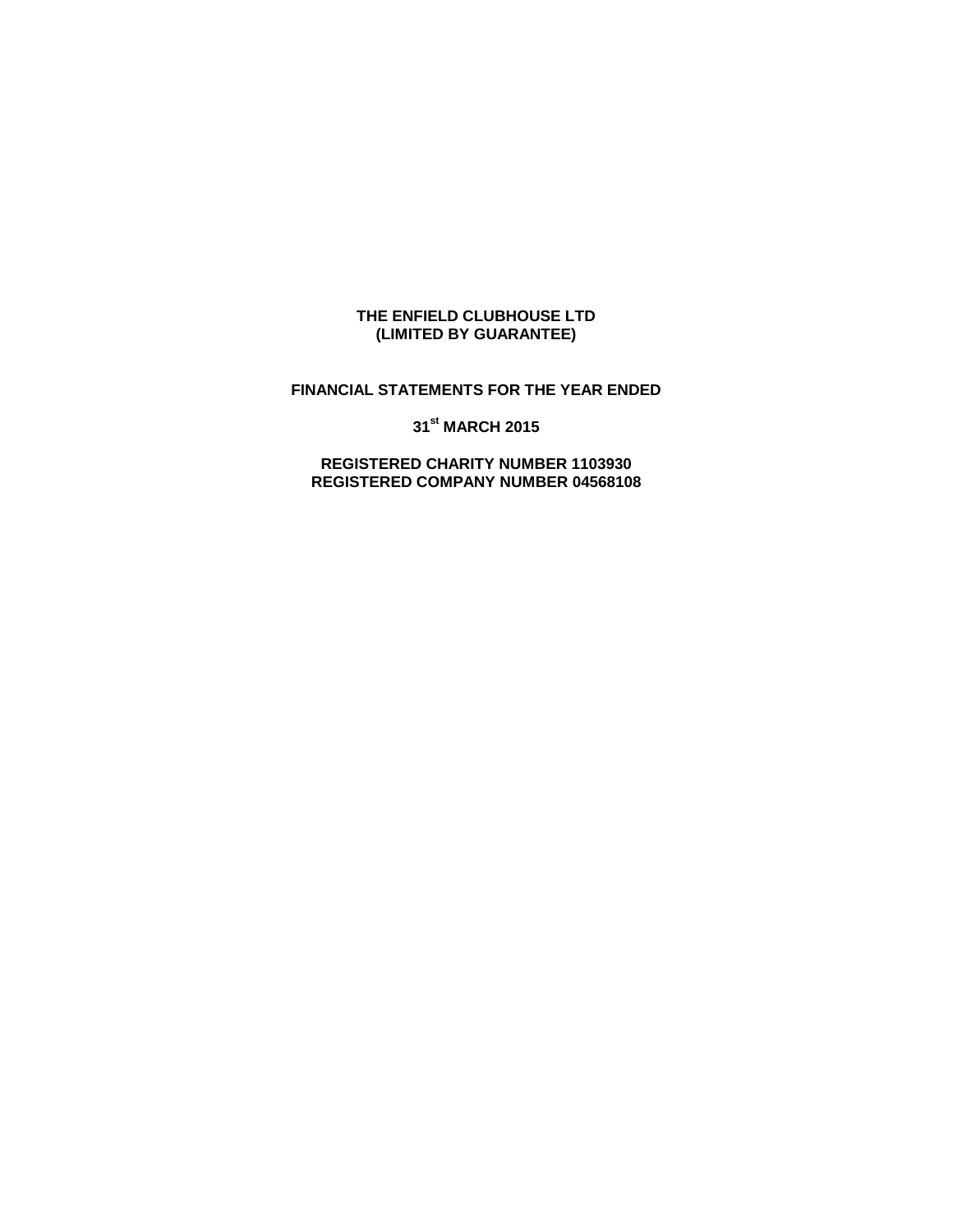### **THE ENFIELD CLUBHOUSE LTD (LIMITED BY GUARANTEE)**

## **FINANCIAL STATEMENTS FOR THE YEAR ENDED**

**31st MARCH 2015**

**REGISTERED CHARITY NUMBER 1103930 REGISTERED COMPANY NUMBER 04568108**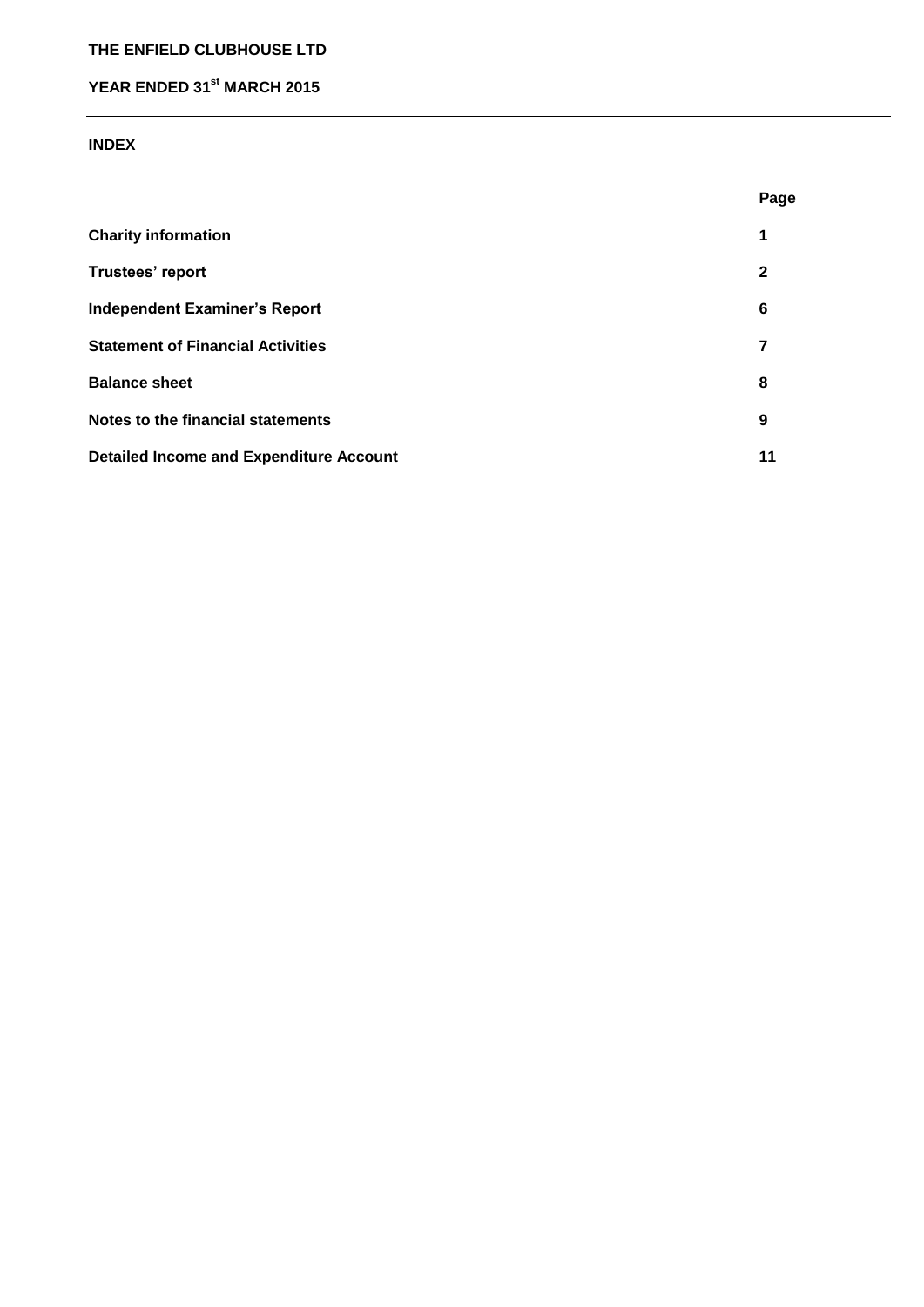# **THE ENFIELD CLUBHOUSE LTD**

# **YEAR ENDED 31st MARCH 2015**

### **INDEX**

|                                                | Page         |
|------------------------------------------------|--------------|
| <b>Charity information</b>                     | 1            |
| Trustees' report                               | $\mathbf{2}$ |
| <b>Independent Examiner's Report</b>           | 6            |
| <b>Statement of Financial Activities</b>       | 7            |
| <b>Balance sheet</b>                           | 8            |
| Notes to the financial statements              | 9            |
| <b>Detailed Income and Expenditure Account</b> | 11           |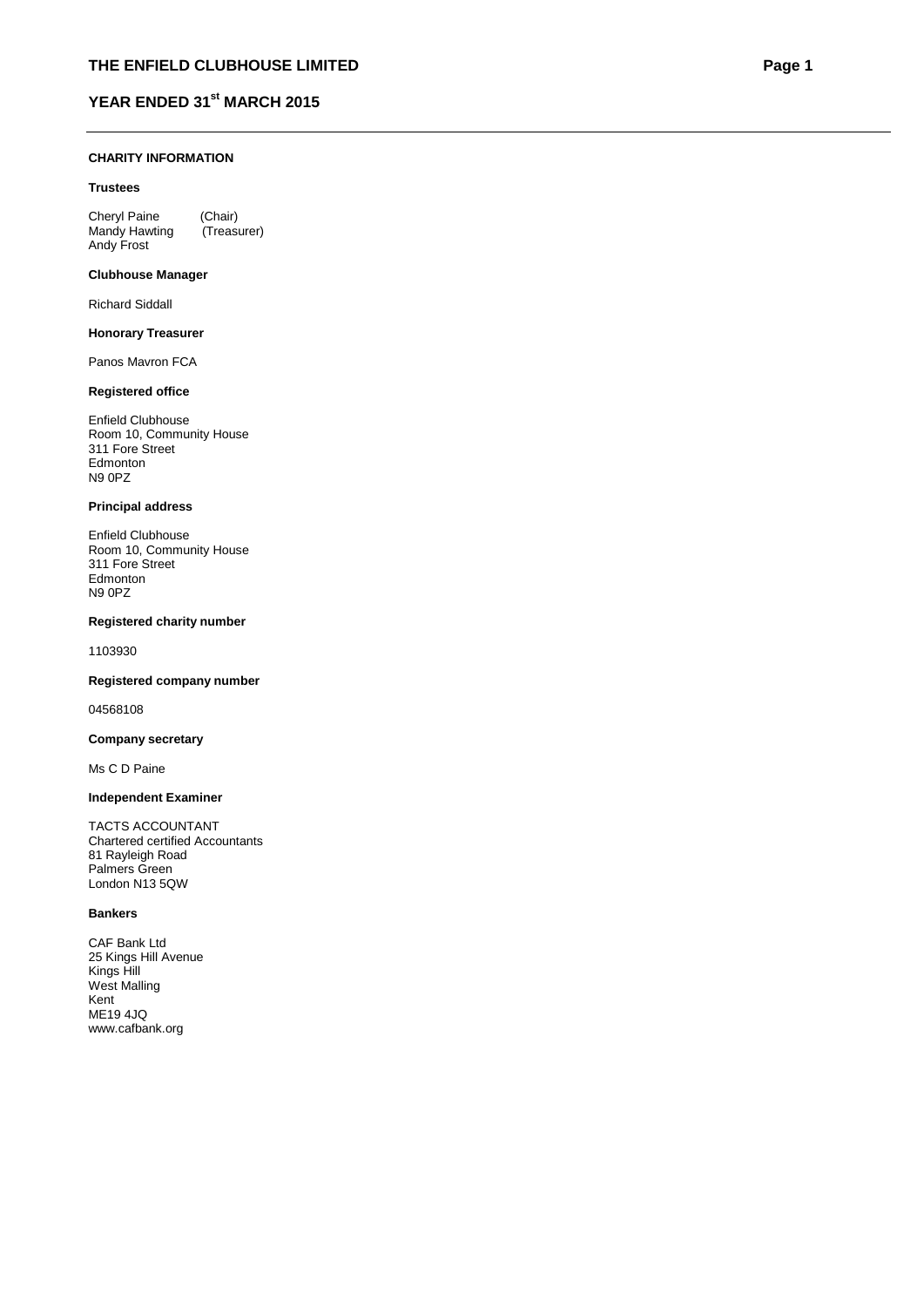#### **CHARITY INFORMATION**

#### **Trustees**

Cheryl Paine (Chair)<br>Mandy Hawting (Treasurer) Mandy Hawting Andy Frost

#### **Clubhouse Manager**

Richard Siddall

#### **Honorary Treasurer**

Panos Mavron FCA

#### **Registered office**

Enfield Clubhouse Room 10, Community House 311 Fore Street Edmonton N9 0PZ

#### **Principal address**

Enfield Clubhouse Room 10, Community House 311 Fore Street Edmonton N9 0PZ

#### **Registered charity number**

1103930

#### **Registered company number**

04568108

#### **Company secretary**

Ms C D Paine

#### **Independent Examiner**

TACTS ACCOUNTANT Chartered certified Accountants 81 Rayleigh Road Palmers Green London N13 5QW

#### **Bankers**

CAF Bank Ltd 25 Kings Hill Avenue Kings Hill West Malling Kent ME19 4JQ www.cafbank.org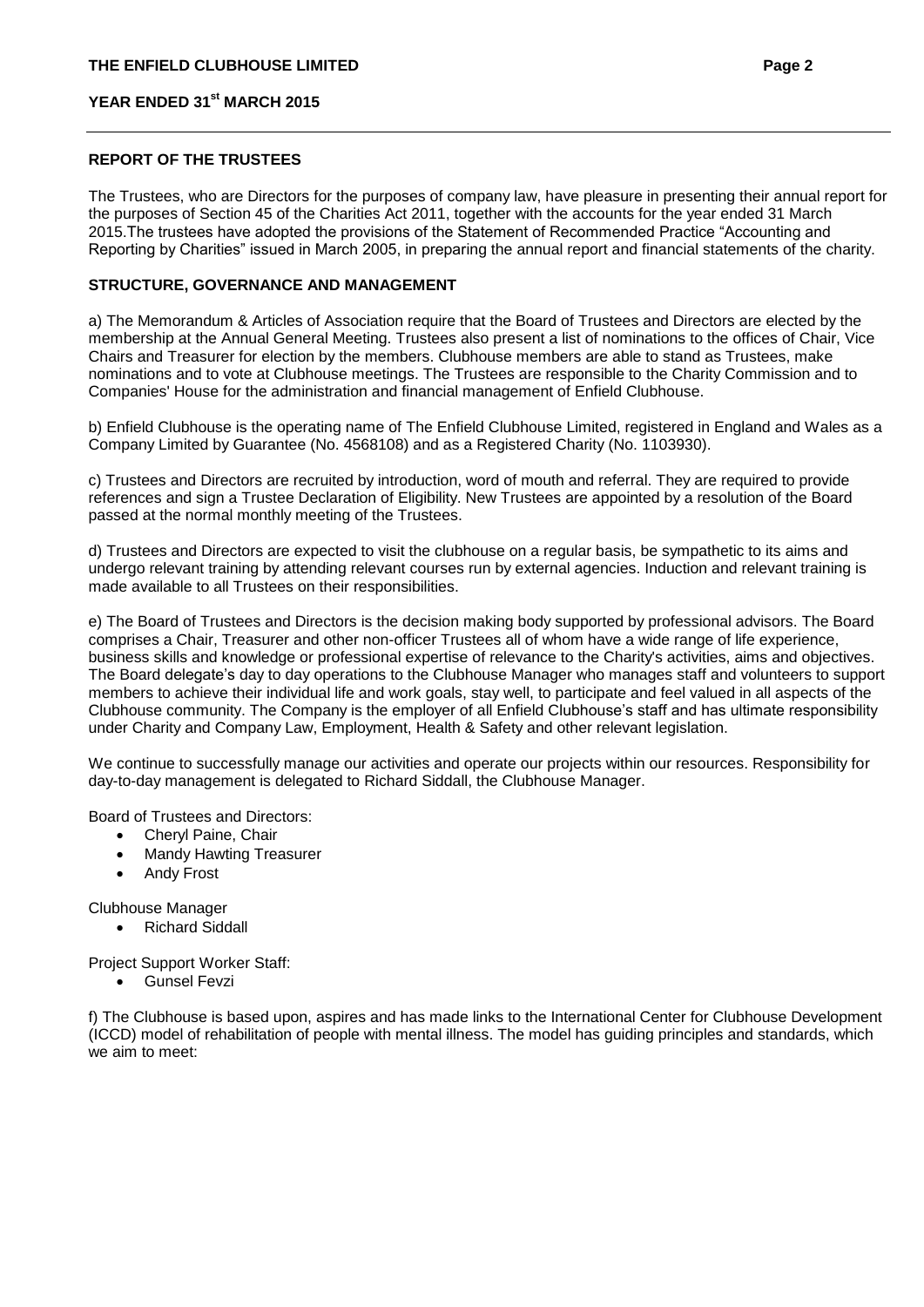#### **REPORT OF THE TRUSTEES**

The Trustees, who are Directors for the purposes of company law, have pleasure in presenting their annual report for the purposes of Section 45 of the Charities Act 2011, together with the accounts for the year ended 31 March 2015.The trustees have adopted the provisions of the Statement of Recommended Practice "Accounting and Reporting by Charities" issued in March 2005, in preparing the annual report and financial statements of the charity.

### **STRUCTURE, GOVERNANCE AND MANAGEMENT**

a) The Memorandum & Articles of Association require that the Board of Trustees and Directors are elected by the membership at the Annual General Meeting. Trustees also present a list of nominations to the offices of Chair, Vice Chairs and Treasurer for election by the members. Clubhouse members are able to stand as Trustees, make nominations and to vote at Clubhouse meetings. The Trustees are responsible to the Charity Commission and to Companies' House for the administration and financial management of Enfield Clubhouse.

b) Enfield Clubhouse is the operating name of The Enfield Clubhouse Limited, registered in England and Wales as a Company Limited by Guarantee (No. 4568108) and as a Registered Charity (No. 1103930).

c) Trustees and Directors are recruited by introduction, word of mouth and referral. They are required to provide references and sign a Trustee Declaration of Eligibility. New Trustees are appointed by a resolution of the Board passed at the normal monthly meeting of the Trustees.

d) Trustees and Directors are expected to visit the clubhouse on a regular basis, be sympathetic to its aims and undergo relevant training by attending relevant courses run by external agencies. Induction and relevant training is made available to all Trustees on their responsibilities.

e) The Board of Trustees and Directors is the decision making body supported by professional advisors. The Board comprises a Chair, Treasurer and other non-officer Trustees all of whom have a wide range of life experience, business skills and knowledge or professional expertise of relevance to the Charity's activities, aims and objectives. The Board delegate's day to day operations to the Clubhouse Manager who manages staff and volunteers to support members to achieve their individual life and work goals, stay well, to participate and feel valued in all aspects of the Clubhouse community. The Company is the employer of all Enfield Clubhouse's staff and has ultimate responsibility under Charity and Company Law, Employment, Health & Safety and other relevant legislation.

We continue to successfully manage our activities and operate our projects within our resources. Responsibility for day-to-day management is delegated to Richard Siddall, the Clubhouse Manager.

Board of Trustees and Directors:

- Cheryl Paine, Chair
- Mandy Hawting Treasurer
- Andy Frost

Clubhouse Manager

• Richard Siddall

Project Support Worker Staff:

Gunsel Fevzi

f) The Clubhouse is based upon, aspires and has made links to the International Center for Clubhouse Development (ICCD) model of rehabilitation of people with mental illness. The model has guiding principles and standards, which we aim to meet: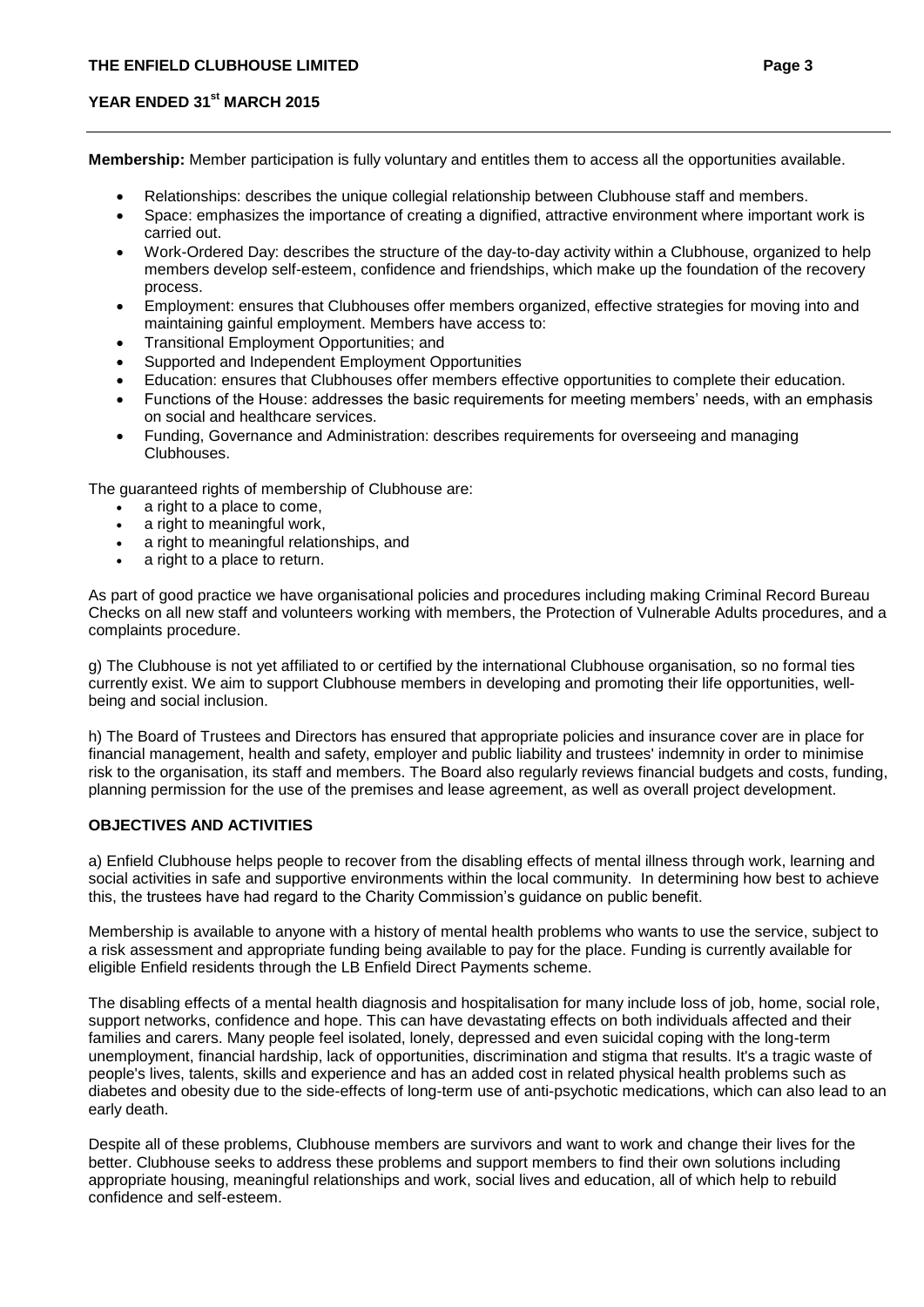**Membership:** Member participation is fully voluntary and entitles them to access all the opportunities available.

- Relationships: describes the unique collegial relationship between Clubhouse staff and members.
- Space: emphasizes the importance of creating a dignified, attractive environment where important work is carried out.
- Work-Ordered Day: describes the structure of the day-to-day activity within a Clubhouse, organized to help members develop self-esteem, confidence and friendships, which make up the foundation of the recovery process.
- Employment: ensures that Clubhouses offer members organized, effective strategies for moving into and maintaining gainful employment. Members have access to:
- Transitional Employment Opportunities; and
- Supported and Independent Employment Opportunities
- Education: ensures that Clubhouses offer members effective opportunities to complete their education.
- Functions of the House: addresses the basic requirements for meeting members' needs, with an emphasis on social and healthcare services.
- Funding, Governance and Administration: describes requirements for overseeing and managing Clubhouses.

The guaranteed rights of membership of Clubhouse are:

- a right to a place to come,
- a right to meaningful work,
- a right to meaningful relationships, and
- a right to a place to return.

As part of good practice we have organisational policies and procedures including making Criminal Record Bureau Checks on all new staff and volunteers working with members, the Protection of Vulnerable Adults procedures, and a complaints procedure.

g) The Clubhouse is not yet affiliated to or certified by the international Clubhouse organisation, so no formal ties currently exist. We aim to support Clubhouse members in developing and promoting their life opportunities, wellbeing and social inclusion.

h) The Board of Trustees and Directors has ensured that appropriate policies and insurance cover are in place for financial management, health and safety, employer and public liability and trustees' indemnity in order to minimise risk to the organisation, its staff and members. The Board also regularly reviews financial budgets and costs, funding, planning permission for the use of the premises and lease agreement, as well as overall project development.

### **OBJECTIVES AND ACTIVITIES**

a) Enfield Clubhouse helps people to recover from the disabling effects of mental illness through work, learning and social activities in safe and supportive environments within the local community. In determining how best to achieve this, the trustees have had regard to the Charity Commission's guidance on public benefit.

Membership is available to anyone with a history of mental health problems who wants to use the service, subject to a risk assessment and appropriate funding being available to pay for the place. Funding is currently available for eligible Enfield residents through the LB Enfield Direct Payments scheme.

The disabling effects of a mental health diagnosis and hospitalisation for many include loss of job, home, social role, support networks, confidence and hope. This can have devastating effects on both individuals affected and their families and carers. Many people feel isolated, lonely, depressed and even suicidal coping with the long-term unemployment, financial hardship, lack of opportunities, discrimination and stigma that results. It's a tragic waste of people's lives, talents, skills and experience and has an added cost in related physical health problems such as diabetes and obesity due to the side-effects of long-term use of anti-psychotic medications, which can also lead to an early death.

Despite all of these problems, Clubhouse members are survivors and want to work and change their lives for the better. Clubhouse seeks to address these problems and support members to find their own solutions including appropriate housing, meaningful relationships and work, social lives and education, all of which help to rebuild confidence and self-esteem.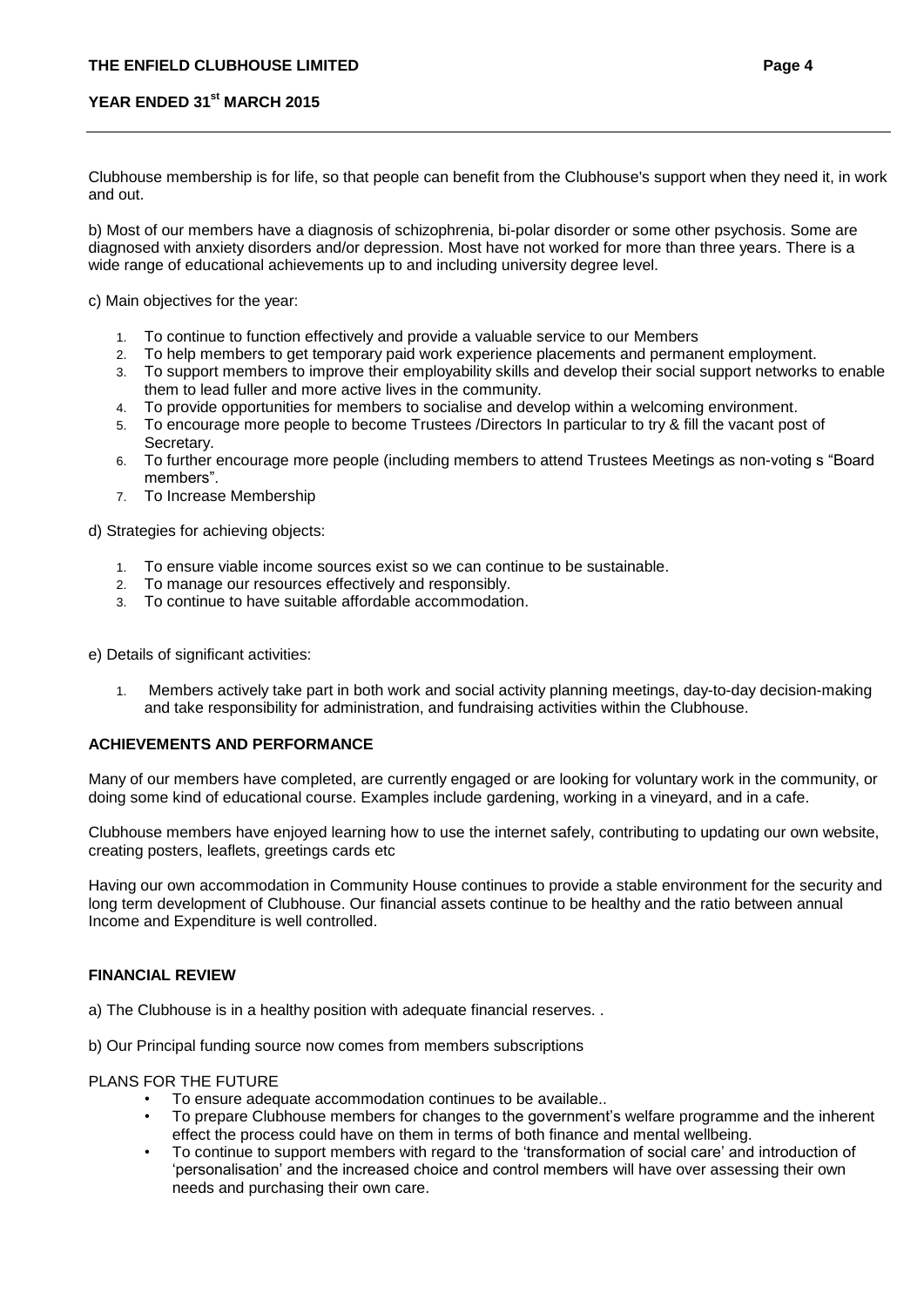Clubhouse membership is for life, so that people can benefit from the Clubhouse's support when they need it, in work and out.

b) Most of our members have a diagnosis of schizophrenia, bi-polar disorder or some other psychosis. Some are diagnosed with anxiety disorders and/or depression. Most have not worked for more than three years. There is a wide range of educational achievements up to and including university degree level.

c) Main objectives for the year:

- 1. To continue to function effectively and provide a valuable service to our Members
- 2. To help members to get temporary paid work experience placements and permanent employment.
- 3. To support members to improve their employability skills and develop their social support networks to enable them to lead fuller and more active lives in the community.
- 4. To provide opportunities for members to socialise and develop within a welcoming environment.
- 5. To encourage more people to become Trustees /Directors In particular to try & fill the vacant post of Secretary.
- 6. To further encourage more people (including members to attend Trustees Meetings as non-voting s "Board members".
- 7. To Increase Membership

d) Strategies for achieving objects:

- 1. To ensure viable income sources exist so we can continue to be sustainable.
- 2. To manage our resources effectively and responsibly.
- 3. To continue to have suitable affordable accommodation.

e) Details of significant activities:

1. Members actively take part in both work and social activity planning meetings, day-to-day decision-making and take responsibility for administration, and fundraising activities within the Clubhouse.

### **ACHIEVEMENTS AND PERFORMANCE**

Many of our members have completed, are currently engaged or are looking for voluntary work in the community, or doing some kind of educational course. Examples include gardening, working in a vineyard, and in a cafe.

Clubhouse members have enjoyed learning how to use the internet safely, contributing to updating our own website, creating posters, leaflets, greetings cards etc

Having our own accommodation in Community House continues to provide a stable environment for the security and long term development of Clubhouse. Our financial assets continue to be healthy and the ratio between annual Income and Expenditure is well controlled.

### **FINANCIAL REVIEW**

- a) The Clubhouse is in a healthy position with adequate financial reserves. .
- b) Our Principal funding source now comes from members subscriptions

#### PLANS FOR THE FUTURE

- To ensure adequate accommodation continues to be available..
- To prepare Clubhouse members for changes to the government's welfare programme and the inherent effect the process could have on them in terms of both finance and mental wellbeing.
- To continue to support members with regard to the 'transformation of social care' and introduction of 'personalisation' and the increased choice and control members will have over assessing their own needs and purchasing their own care.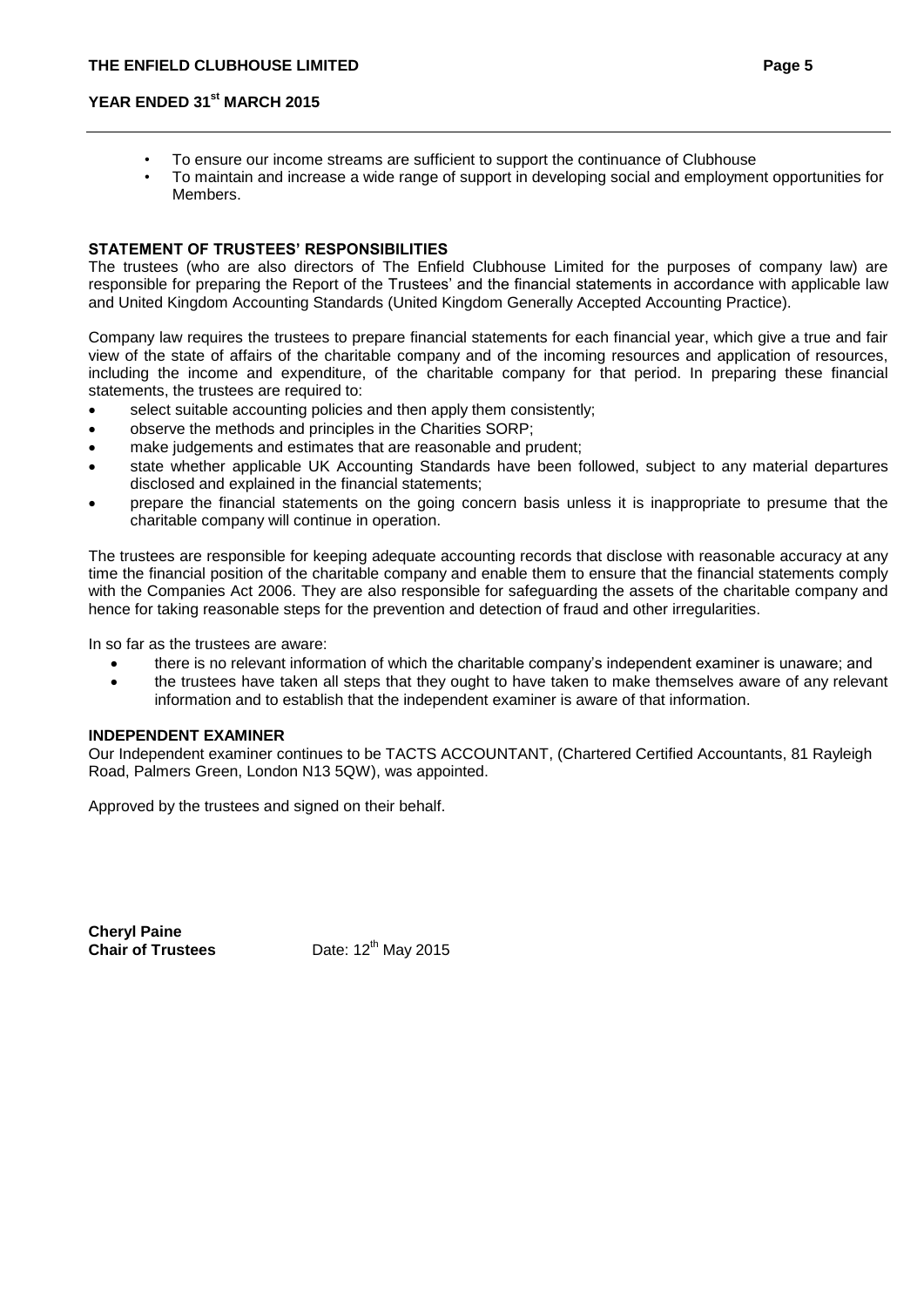- To ensure our income streams are sufficient to support the continuance of Clubhouse
- To maintain and increase a wide range of support in developing social and employment opportunities for Members.

### **STATEMENT OF TRUSTEES' RESPONSIBILITIES**

The trustees (who are also directors of The Enfield Clubhouse Limited for the purposes of company law) are responsible for preparing the Report of the Trustees' and the financial statements in accordance with applicable law and United Kingdom Accounting Standards (United Kingdom Generally Accepted Accounting Practice).

Company law requires the trustees to prepare financial statements for each financial year, which give a true and fair view of the state of affairs of the charitable company and of the incoming resources and application of resources, including the income and expenditure, of the charitable company for that period. In preparing these financial statements, the trustees are required to:

- select suitable accounting policies and then apply them consistently;
- observe the methods and principles in the Charities SORP;
- make judgements and estimates that are reasonable and prudent;
- state whether applicable UK Accounting Standards have been followed, subject to any material departures disclosed and explained in the financial statements;
- prepare the financial statements on the going concern basis unless it is inappropriate to presume that the charitable company will continue in operation.

The trustees are responsible for keeping adequate accounting records that disclose with reasonable accuracy at any time the financial position of the charitable company and enable them to ensure that the financial statements comply with the Companies Act 2006. They are also responsible for safeguarding the assets of the charitable company and hence for taking reasonable steps for the prevention and detection of fraud and other irregularities.

In so far as the trustees are aware:

- there is no relevant information of which the charitable company's independent examiner is unaware; and
- the trustees have taken all steps that they ought to have taken to make themselves aware of any relevant information and to establish that the independent examiner is aware of that information.

#### **INDEPENDENT EXAMINER**

Our Independent examiner continues to be TACTS ACCOUNTANT, (Chartered Certified Accountants, 81 Rayleigh Road, Palmers Green, London N13 5QW), was appointed.

Approved by the trustees and signed on their behalf.

**Cheryl Paine**

**Chair of Trustees** Date: 12<sup>th</sup> May 2015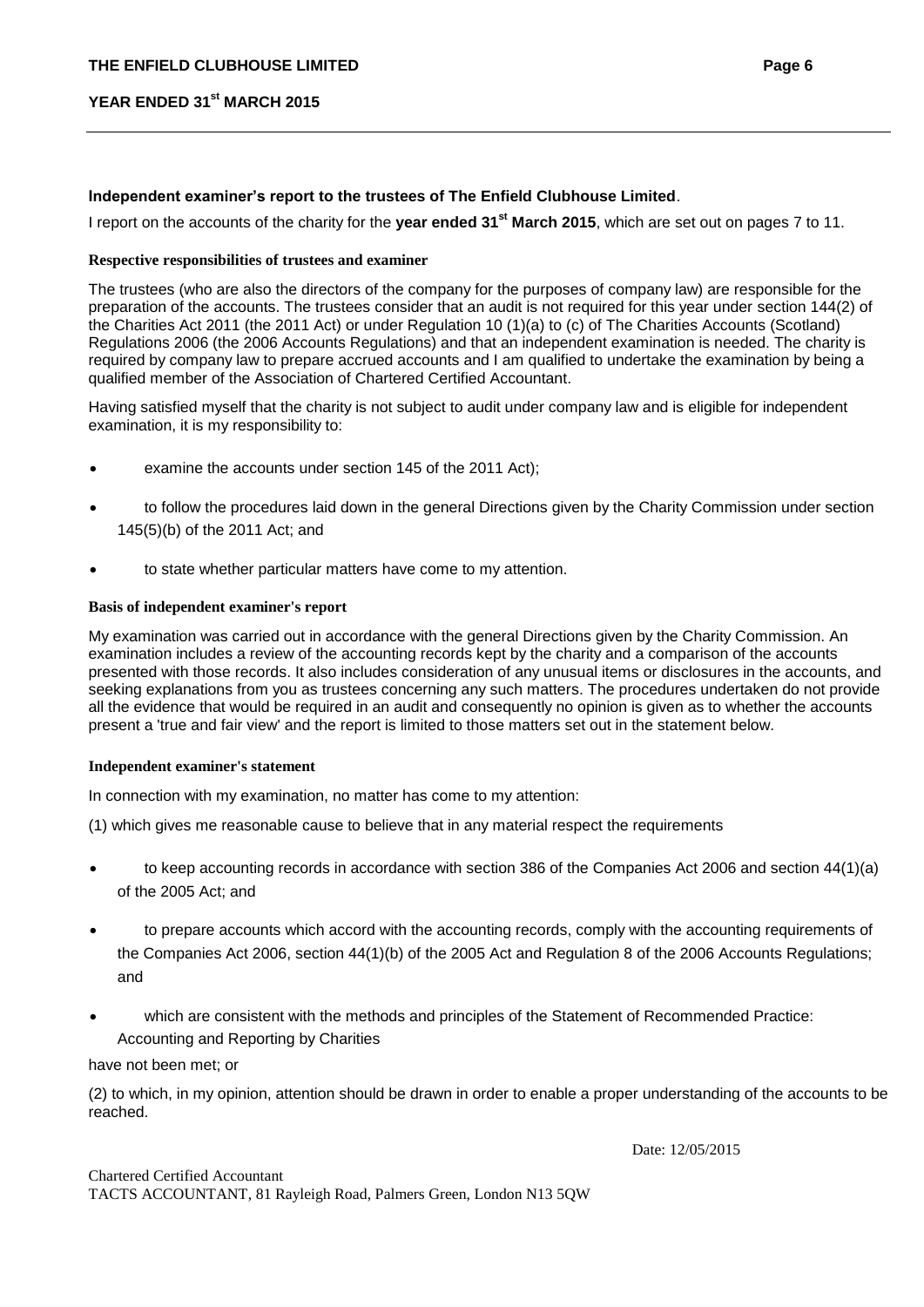### **Independent examiner's report to the trustees of The Enfield Clubhouse Limited**.

I report on the accounts of the charity for the **year ended 31st March 2015**, which are set out on pages 7 to 11.

#### **Respective responsibilities of trustees and examiner**

The trustees (who are also the directors of the company for the purposes of company law) are responsible for the preparation of the accounts. The trustees consider that an audit is not required for this year under section 144(2) of the Charities Act 2011 (the 2011 Act) or under Regulation 10 (1)(a) to (c) of The Charities Accounts (Scotland) Regulations 2006 (the 2006 Accounts Regulations) and that an independent examination is needed. The charity is required by company law to prepare accrued accounts and I am qualified to undertake the examination by being a qualified member of the Association of Chartered Certified Accountant.

Having satisfied myself that the charity is not subject to audit under company law and is eligible for independent examination, it is my responsibility to:

- examine the accounts under section 145 of the 2011 Act);
- to follow the procedures laid down in the general Directions given by the Charity Commission under section 145(5)(b) of the 2011 Act; and
- to state whether particular matters have come to my attention.

#### **Basis of independent examiner's report**

My examination was carried out in accordance with the general Directions given by the Charity Commission. An examination includes a review of the accounting records kept by the charity and a comparison of the accounts presented with those records. It also includes consideration of any unusual items or disclosures in the accounts, and seeking explanations from you as trustees concerning any such matters. The procedures undertaken do not provide all the evidence that would be required in an audit and consequently no opinion is given as to whether the accounts present a 'true and fair view' and the report is limited to those matters set out in the statement below.

#### **Independent examiner's statement**

In connection with my examination, no matter has come to my attention:

(1) which gives me reasonable cause to believe that in any material respect the requirements

- to keep accounting records in accordance with section 386 of the Companies Act 2006 and section 44(1)(a) of the 2005 Act; and
- to prepare accounts which accord with the accounting records, comply with the accounting requirements of the Companies Act 2006, section 44(1)(b) of the 2005 Act and Regulation 8 of the 2006 Accounts Regulations; and
- which are consistent with the methods and principles of the Statement of Recommended Practice: Accounting and Reporting by Charities

have not been met; or

(2) to which, in my opinion, attention should be drawn in order to enable a proper understanding of the accounts to be reached.

Date: 12/05/2015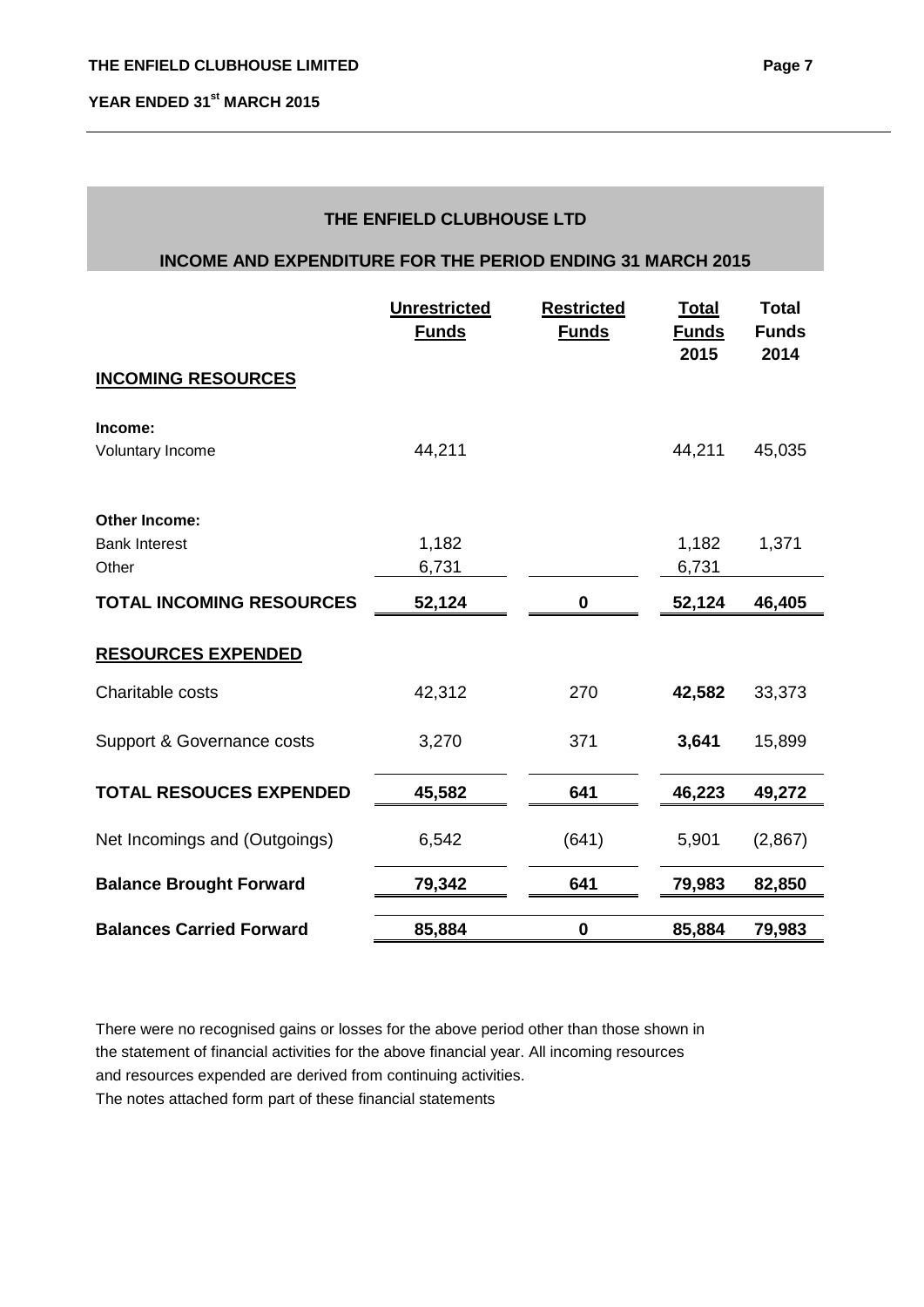## **THE ENFIELD CLUBHOUSE LTD**

### **INCOME AND EXPENDITURE FOR THE PERIOD ENDING 31 MARCH 2015**

|                                 | <b>Unrestricted</b><br><b>Funds</b> | <b>Restricted</b><br><b>Funds</b> | <b>Total</b><br><b>Funds</b><br>2015 | <b>Total</b><br><b>Funds</b><br>2014 |
|---------------------------------|-------------------------------------|-----------------------------------|--------------------------------------|--------------------------------------|
| <b>INCOMING RESOURCES</b>       |                                     |                                   |                                      |                                      |
| Income:                         |                                     |                                   |                                      |                                      |
| Voluntary Income                | 44,211                              |                                   | 44,211                               | 45,035                               |
|                                 |                                     |                                   |                                      |                                      |
| <b>Other Income:</b>            |                                     |                                   |                                      |                                      |
| <b>Bank Interest</b>            | 1,182                               |                                   | 1,182                                | 1,371                                |
| Other                           | 6,731                               |                                   | 6,731                                |                                      |
| <b>TOTAL INCOMING RESOURCES</b> | 52,124                              | 0                                 | 52,124                               | 46,405                               |
| <b>RESOURCES EXPENDED</b>       |                                     |                                   |                                      |                                      |
| Charitable costs                | 42,312                              | 270                               | 42,582                               | 33,373                               |
| Support & Governance costs      | 3,270                               | 371                               | 3,641                                | 15,899                               |
| <b>TOTAL RESOUCES EXPENDED</b>  | 45,582                              | 641                               | 46,223                               | 49,272                               |
| Net Incomings and (Outgoings)   | 6,542                               | (641)                             | 5,901                                | (2,867)                              |
| <b>Balance Brought Forward</b>  | 79,342                              | 641                               | 79,983                               | 82,850                               |
| <b>Balances Carried Forward</b> | 85,884                              | $\bf{0}$                          | 85,884                               | 79,983                               |

There were no recognised gains or losses for the above period other than those shown in the statement of financial activities for the above financial year. All incoming resources and resources expended are derived from continuing activities.

The notes attached form part of these financial statements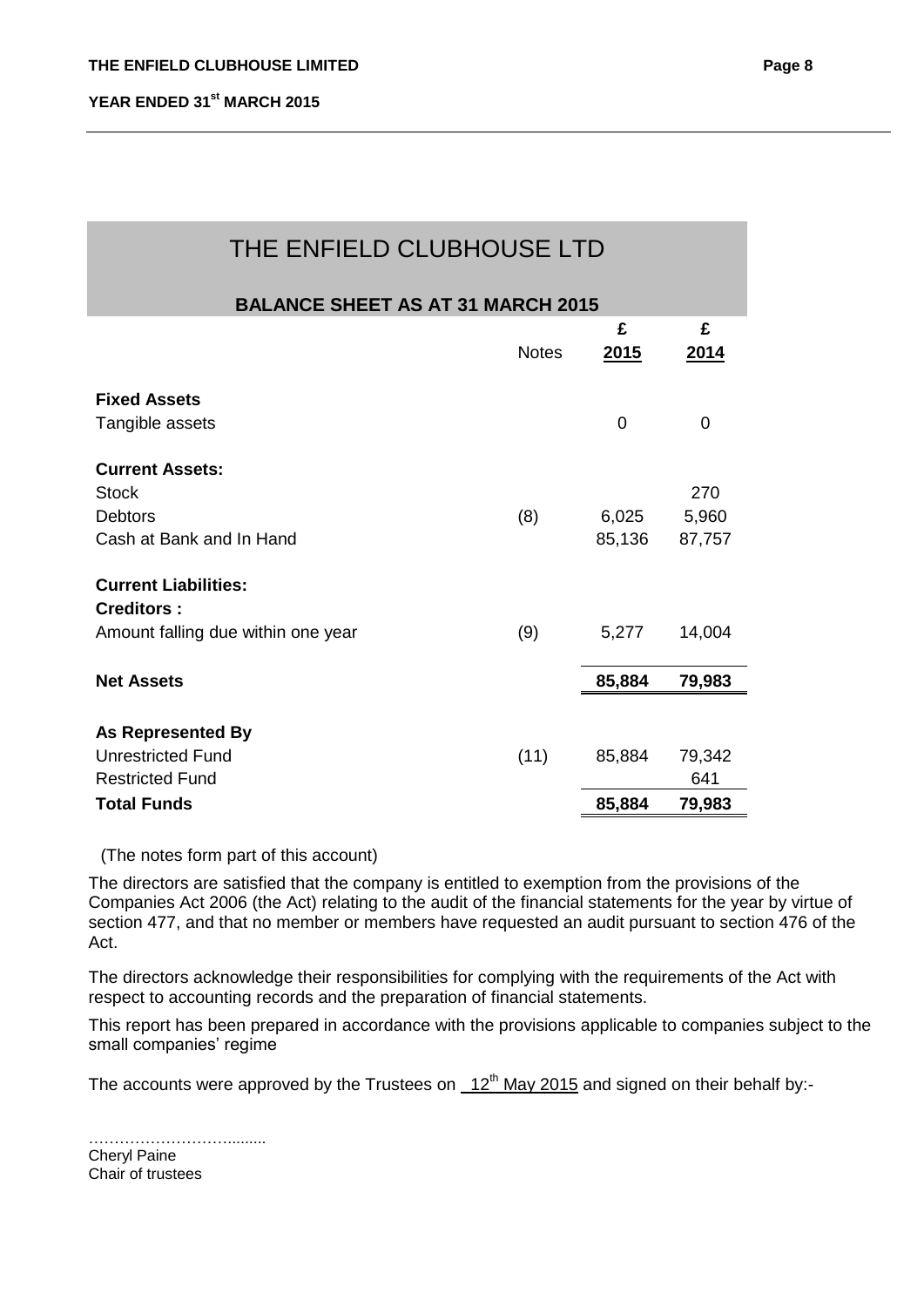| THE ENFIELD CLUBHOUSE LTD                |              |                  |           |  |
|------------------------------------------|--------------|------------------|-----------|--|
| <b>BALANCE SHEET AS AT 31 MARCH 2015</b> |              |                  |           |  |
|                                          | <b>Notes</b> | £<br><u>2015</u> | £<br>2014 |  |
| <b>Fixed Assets</b>                      |              |                  |           |  |
| Tangible assets                          |              | 0                | 0         |  |
| <b>Current Assets:</b>                   |              |                  |           |  |
| <b>Stock</b>                             |              |                  | 270       |  |
| <b>Debtors</b>                           | (8)          | 6,025            | 5,960     |  |
| Cash at Bank and In Hand                 |              | 85,136           | 87,757    |  |
| <b>Current Liabilities:</b>              |              |                  |           |  |
| <b>Creditors:</b>                        |              |                  |           |  |
| Amount falling due within one year       | (9)          | 5,277            | 14,004    |  |
| <b>Net Assets</b>                        |              | 85,884           | 79,983    |  |
| <b>As Represented By</b>                 |              |                  |           |  |
| <b>Unrestricted Fund</b>                 | (11)         | 85,884           | 79,342    |  |
| <b>Restricted Fund</b>                   |              |                  | 641       |  |
| <b>Total Funds</b>                       |              | 85,884           | 79,983    |  |

(The notes form part of this account)

The directors are satisfied that the company is entitled to exemption from the provisions of the Companies Act 2006 (the Act) relating to the audit of the financial statements for the year by virtue of section 477, and that no member or members have requested an audit pursuant to section 476 of the Act.

The directors acknowledge their responsibilities for complying with the requirements of the Act with respect to accounting records and the preparation of financial statements.

This report has been prepared in accordance with the provisions applicable to companies subject to the small companies' regime

The accounts were approved by the Trustees on  $12^{th}$  May 2015 and signed on their behalf by:-

……………………… Cheryl Paine Chair of trustees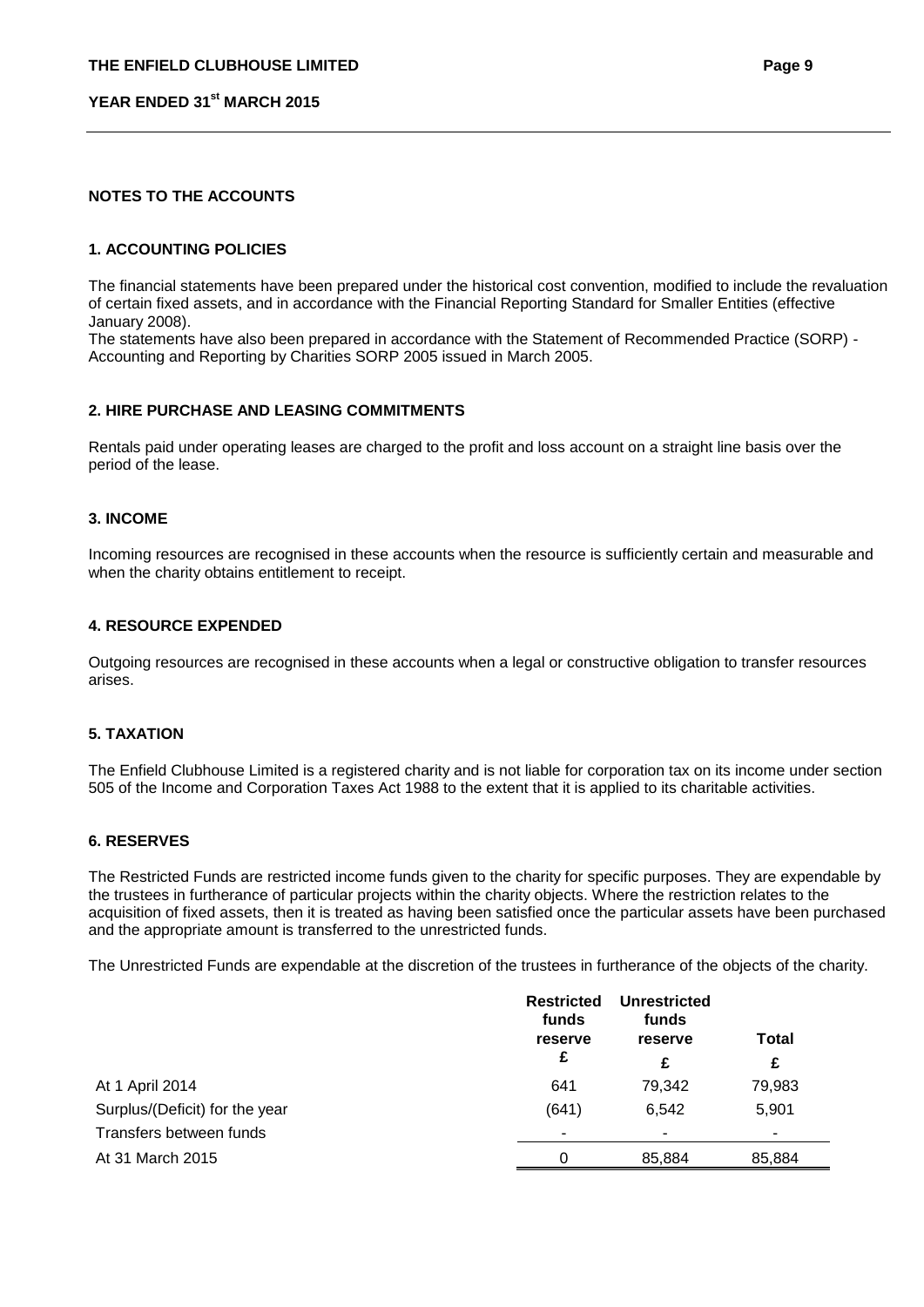### **NOTES TO THE ACCOUNTS**

### **1. ACCOUNTING POLICIES**

The financial statements have been prepared under the historical cost convention, modified to include the revaluation of certain fixed assets, and in accordance with the Financial Reporting Standard for Smaller Entities (effective January 2008).

The statements have also been prepared in accordance with the Statement of Recommended Practice (SORP) - Accounting and Reporting by Charities SORP 2005 issued in March 2005.

#### **2. HIRE PURCHASE AND LEASING COMMITMENTS**

Rentals paid under operating leases are charged to the profit and loss account on a straight line basis over the period of the lease.

#### **3. INCOME**

Incoming resources are recognised in these accounts when the resource is sufficiently certain and measurable and when the charity obtains entitlement to receipt.

#### **4. RESOURCE EXPENDED**

Outgoing resources are recognised in these accounts when a legal or constructive obligation to transfer resources arises.

#### **5. TAXATION**

The Enfield Clubhouse Limited is a registered charity and is not liable for corporation tax on its income under section 505 of the Income and Corporation Taxes Act 1988 to the extent that it is applied to its charitable activities.

### **6. RESERVES**

The Restricted Funds are restricted income funds given to the charity for specific purposes. They are expendable by the trustees in furtherance of particular projects within the charity objects. Where the restriction relates to the acquisition of fixed assets, then it is treated as having been satisfied once the particular assets have been purchased and the appropriate amount is transferred to the unrestricted funds.

The Unrestricted Funds are expendable at the discretion of the trustees in furtherance of the objects of the charity.

|                                | <b>Restricted</b><br>funds<br>reserve<br>£ | <b>Unrestricted</b><br>funds<br>reserve<br>£ | <b>Total</b><br>£ |
|--------------------------------|--------------------------------------------|----------------------------------------------|-------------------|
| At 1 April 2014                | 641                                        | 79,342                                       | 79,983            |
|                                |                                            |                                              |                   |
| Surplus/(Deficit) for the year | (641)                                      | 6,542                                        | 5,901             |
| Transfers between funds        | ۰                                          | ٠                                            |                   |
| At 31 March 2015               | 0                                          | 85,884                                       | 85,884            |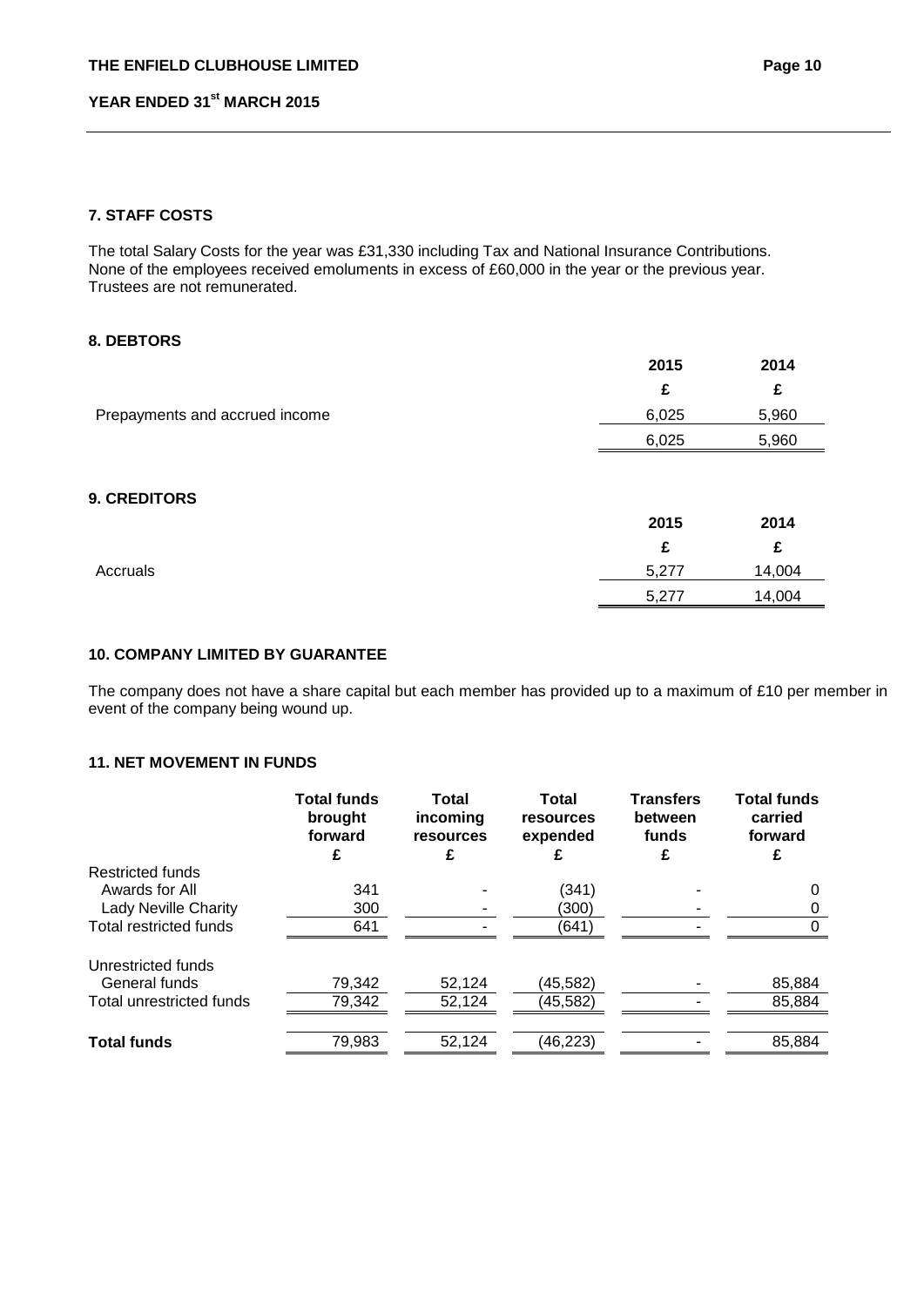## **7. STAFF COSTS**

The total Salary Costs for the year was £31,330 including Tax and National Insurance Contributions. None of the employees received emoluments in excess of £60,000 in the year or the previous year. Trustees are not remunerated.

### **8. DEBTORS**

|                                | 2015  | 2014   |
|--------------------------------|-------|--------|
|                                | £     | £      |
| Prepayments and accrued income | 6,025 | 5,960  |
|                                | 6,025 | 5,960  |
| <b>9. CREDITORS</b>            | 2015  | 2014   |
|                                | £     | £      |
| Accruals                       | 5,277 | 14,004 |
|                                | 5,277 | 14,004 |

## **10. COMPANY LIMITED BY GUARANTEE**

The company does not have a share capital but each member has provided up to a maximum of £10 per member in event of the company being wound up.

## **11. NET MOVEMENT IN FUNDS**

|                             | <b>Total funds</b><br>brought<br>forward | <b>Total</b><br>incoming<br>resources<br>£ | <b>Total</b><br>resources<br>expended | <b>Transfers</b><br>between<br>funds | <b>Total funds</b><br>carried<br>forward |
|-----------------------------|------------------------------------------|--------------------------------------------|---------------------------------------|--------------------------------------|------------------------------------------|
| Restricted funds            |                                          |                                            |                                       |                                      |                                          |
| Awards for All              | 341                                      |                                            | (341)                                 |                                      | Ω                                        |
| <b>Lady Neville Charity</b> | 300                                      |                                            | (300)                                 |                                      |                                          |
| Total restricted funds      | 641                                      |                                            | (641)                                 |                                      |                                          |
| Unrestricted funds          |                                          |                                            |                                       |                                      |                                          |
| General funds               | 79,342                                   | 52,124                                     | (45,582)                              |                                      | 85,884                                   |
| Total unrestricted funds    | 79,342                                   | 52,124                                     | (45,582)                              |                                      | 85,884                                   |
| <b>Total funds</b>          | 79,983                                   | 52,124                                     | (46, 223)                             |                                      | 85,884                                   |
|                             |                                          |                                            |                                       |                                      |                                          |